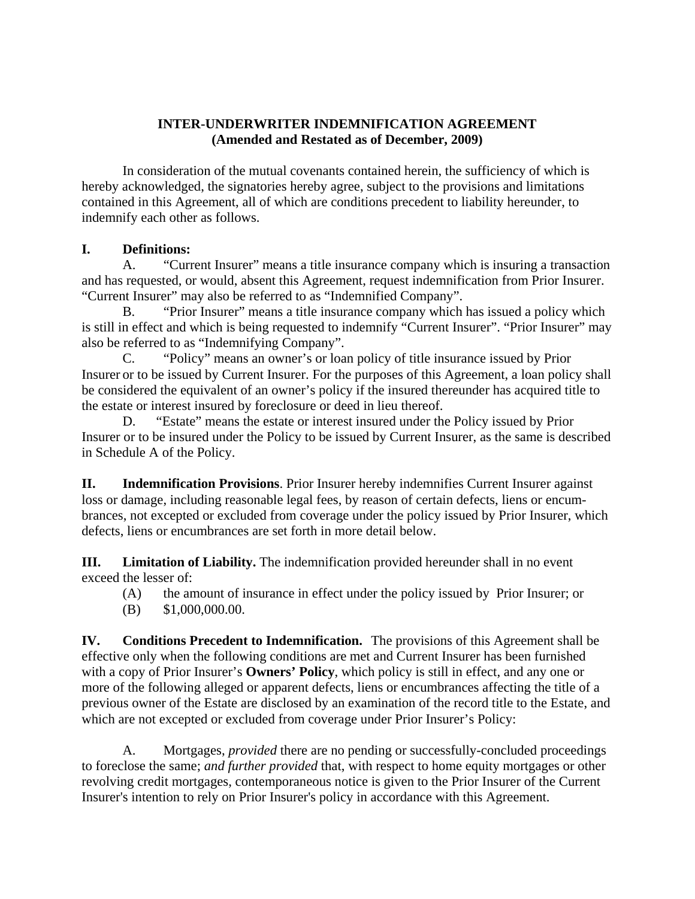## **INTER-UNDERWRITER INDEMNIFICATION AGREEMENT (Amended and Restated as of December, 2009)**

 In consideration of the mutual covenants contained herein, the sufficiency of which is hereby acknowledged, the signatories hereby agree, subject to the provisions and limitations contained in this Agreement, all of which are conditions precedent to liability hereunder, to indemnify each other as follows.

## **I. Definitions:**

 A. "Current Insurer" means a title insurance company which is insuring a transaction and has requested, or would, absent this Agreement, request indemnification from Prior Insurer. "Current Insurer" may also be referred to as "Indemnified Company".

 B. "Prior Insurer" means a title insurance company which has issued a policy which is still in effect and which is being requested to indemnify "Current Insurer". "Prior Insurer" may also be referred to as "Indemnifying Company".

 C. "Policy" means an owner's or loan policy of title insurance issued by Prior Insurer or to be issued by Current Insurer. For the purposes of this Agreement, a loan policy shall be considered the equivalent of an owner's policy if the insured thereunder has acquired title to the estate or interest insured by foreclosure or deed in lieu thereof.

 D. "Estate" means the estate or interest insured under the Policy issued by Prior Insurer or to be insured under the Policy to be issued by Current Insurer, as the same is described in Schedule A of the Policy.

**II. Indemnification Provisions**. Prior Insurer hereby indemnifies Current Insurer against loss or damage, including reasonable legal fees, by reason of certain defects, liens or encumbrances, not excepted or excluded from coverage under the policy issued by Prior Insurer, which defects, liens or encumbrances are set forth in more detail below.

**III. Limitation of Liability.** The indemnification provided hereunder shall in no event exceed the lesser of:

(A) the amount of insurance in effect under the policy issued by Prior Insurer; or

(B) \$1,000,000.00.

**IV. Conditions Precedent to Indemnification.** The provisions of this Agreement shall be effective only when the following conditions are met and Current Insurer has been furnished with a copy of Prior Insurer's **Owners' Policy**, which policy is still in effect, and any one or more of the following alleged or apparent defects, liens or encumbrances affecting the title of a previous owner of the Estate are disclosed by an examination of the record title to the Estate, and which are not excepted or excluded from coverage under Prior Insurer's Policy:

 A. Mortgages, *provided* there are no pending or successfully-concluded proceedings to foreclose the same; *and further provided* that, with respect to home equity mortgages or other revolving credit mortgages, contemporaneous notice is given to the Prior Insurer of the Current Insurer's intention to rely on Prior Insurer's policy in accordance with this Agreement.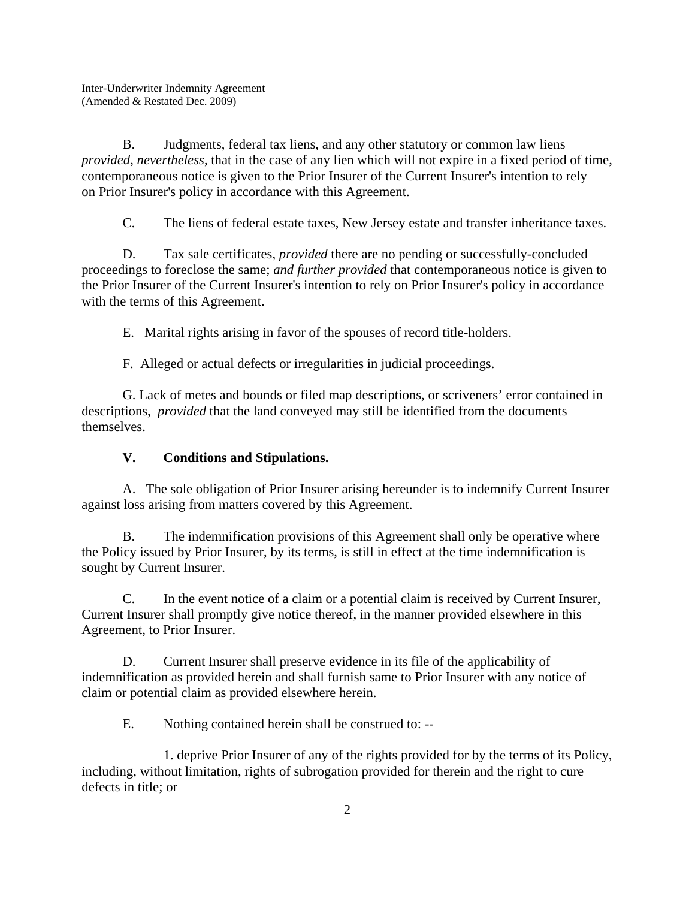B. Judgments, federal tax liens, and any other statutory or common law liens *provided*, *nevertheless*, that in the case of any lien which will not expire in a fixed period of time, contemporaneous notice is given to the Prior Insurer of the Current Insurer's intention to rely on Prior Insurer's policy in accordance with this Agreement.

C. The liens of federal estate taxes, New Jersey estate and transfer inheritance taxes.

 D. Tax sale certificates, *provided* there are no pending or successfully-concluded proceedings to foreclose the same; *and further provided* that contemporaneous notice is given to the Prior Insurer of the Current Insurer's intention to rely on Prior Insurer's policy in accordance with the terms of this Agreement.

E. Marital rights arising in favor of the spouses of record title-holders.

F. Alleged or actual defects or irregularities in judicial proceedings.

 G. Lack of metes and bounds or filed map descriptions, or scriveners' error contained in descriptions, *provided* that the land conveyed may still be identified from the documents themselves.

## **V. Conditions and Stipulations.**

 A. The sole obligation of Prior Insurer arising hereunder is to indemnify Current Insurer against loss arising from matters covered by this Agreement.

 B. The indemnification provisions of this Agreement shall only be operative where the Policy issued by Prior Insurer, by its terms, is still in effect at the time indemnification is sought by Current Insurer.

 C. In the event notice of a claim or a potential claim is received by Current Insurer, Current Insurer shall promptly give notice thereof, in the manner provided elsewhere in this Agreement, to Prior Insurer.

 D. Current Insurer shall preserve evidence in its file of the applicability of indemnification as provided herein and shall furnish same to Prior Insurer with any notice of claim or potential claim as provided elsewhere herein.

E. Nothing contained herein shall be construed to: --

 1. deprive Prior Insurer of any of the rights provided for by the terms of its Policy, including, without limitation, rights of subrogation provided for therein and the right to cure defects in title; or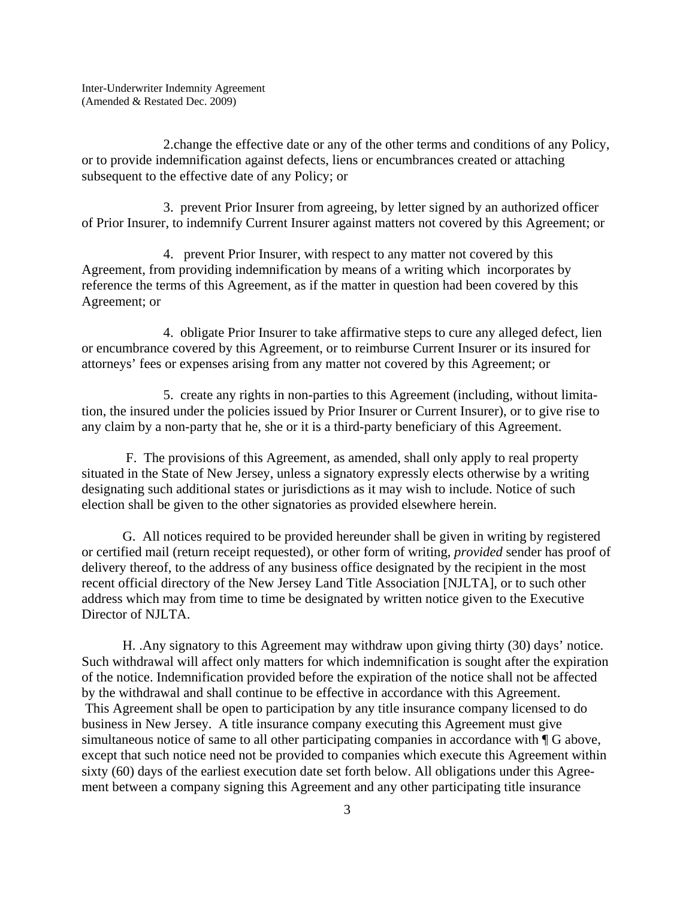2.change the effective date or any of the other terms and conditions of any Policy, or to provide indemnification against defects, liens or encumbrances created or attaching subsequent to the effective date of any Policy; or

 3. prevent Prior Insurer from agreeing, by letter signed by an authorized officer of Prior Insurer, to indemnify Current Insurer against matters not covered by this Agreement; or

 4. prevent Prior Insurer, with respect to any matter not covered by this Agreement, from providing indemnification by means of a writing which incorporates by reference the terms of this Agreement, as if the matter in question had been covered by this Agreement; or

 4. obligate Prior Insurer to take affirmative steps to cure any alleged defect, lien or encumbrance covered by this Agreement, or to reimburse Current Insurer or its insured for attorneys' fees or expenses arising from any matter not covered by this Agreement; or

 5. create any rights in non-parties to this Agreement (including, without limitation, the insured under the policies issued by Prior Insurer or Current Insurer), or to give rise to any claim by a non-party that he, she or it is a third-party beneficiary of this Agreement.

 F. The provisions of this Agreement, as amended, shall only apply to real property situated in the State of New Jersey, unless a signatory expressly elects otherwise by a writing designating such additional states or jurisdictions as it may wish to include. Notice of such election shall be given to the other signatories as provided elsewhere herein.

 G. All notices required to be provided hereunder shall be given in writing by registered or certified mail (return receipt requested), or other form of writing, *provided* sender has proof of delivery thereof, to the address of any business office designated by the recipient in the most recent official directory of the New Jersey Land Title Association [NJLTA], or to such other address which may from time to time be designated by written notice given to the Executive Director of NJLTA.

 H. .Any signatory to this Agreement may withdraw upon giving thirty (30) days' notice. Such withdrawal will affect only matters for which indemnification is sought after the expiration of the notice. Indemnification provided before the expiration of the notice shall not be affected by the withdrawal and shall continue to be effective in accordance with this Agreement. This Agreement shall be open to participation by any title insurance company licensed to do business in New Jersey. A title insurance company executing this Agreement must give simultaneous notice of same to all other participating companies in accordance with  $\P G$  above, except that such notice need not be provided to companies which execute this Agreement within sixty (60) days of the earliest execution date set forth below. All obligations under this Agreement between a company signing this Agreement and any other participating title insurance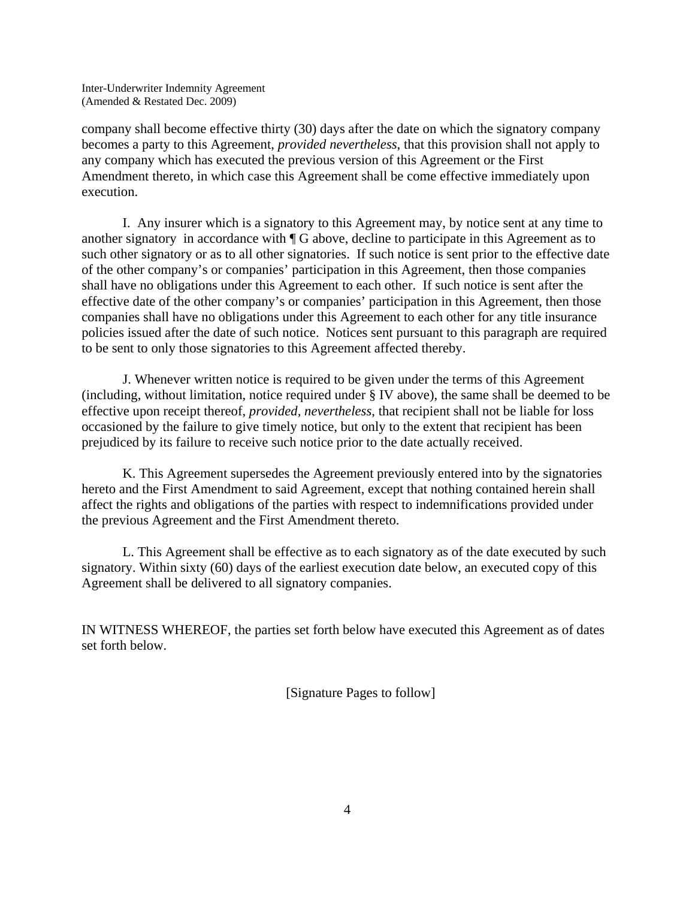Inter-Underwriter Indemnity Agreement (Amended & Restated Dec. 2009)

company shall become effective thirty (30) days after the date on which the signatory company becomes a party to this Agreement, *provided nevertheless*, that this provision shall not apply to any company which has executed the previous version of this Agreement or the First Amendment thereto, in which case this Agreement shall be come effective immediately upon execution.

 I. Any insurer which is a signatory to this Agreement may, by notice sent at any time to another signatory in accordance with ¶ G above, decline to participate in this Agreement as to such other signatory or as to all other signatories. If such notice is sent prior to the effective date of the other company's or companies' participation in this Agreement, then those companies shall have no obligations under this Agreement to each other. If such notice is sent after the effective date of the other company's or companies' participation in this Agreement, then those companies shall have no obligations under this Agreement to each other for any title insurance policies issued after the date of such notice. Notices sent pursuant to this paragraph are required to be sent to only those signatories to this Agreement affected thereby.

 J. Whenever written notice is required to be given under the terms of this Agreement (including, without limitation, notice required under § IV above), the same shall be deemed to be effective upon receipt thereof, *provided, nevertheless*, that recipient shall not be liable for loss occasioned by the failure to give timely notice, but only to the extent that recipient has been prejudiced by its failure to receive such notice prior to the date actually received.

 K. This Agreement supersedes the Agreement previously entered into by the signatories hereto and the First Amendment to said Agreement, except that nothing contained herein shall affect the rights and obligations of the parties with respect to indemnifications provided under the previous Agreement and the First Amendment thereto.

 L. This Agreement shall be effective as to each signatory as of the date executed by such signatory. Within sixty (60) days of the earliest execution date below, an executed copy of this Agreement shall be delivered to all signatory companies.

IN WITNESS WHEREOF, the parties set forth below have executed this Agreement as of dates set forth below.

[Signature Pages to follow]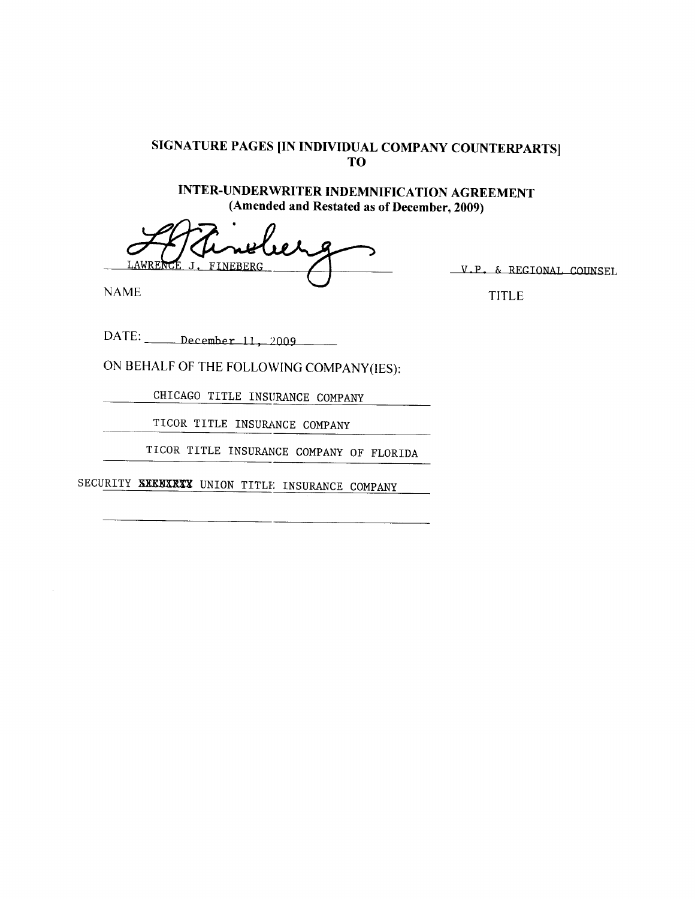INTER-UNDERWRITER INDEMNIFICATION AGREEMENT (Amended and Restated as of December, 2009)

LAWREN **FINEBERG** 

**NAME** 

V.P. & REGIONAL COUNSEL

**TITLE** 

 $\text{DATE:}$  December 11, 2009

ON BEHALF OF THE FOLLOWING COMPANY(IES):

CHICAGO TITLE INSURANCE COMPANY

TICOR TITLE INSURANCE COMPANY

TICOR TITLE INSURANCE COMPANY OF FLORIDA

SECURITY SXEBXRXX UNION TITLE INSURANCE COMPANY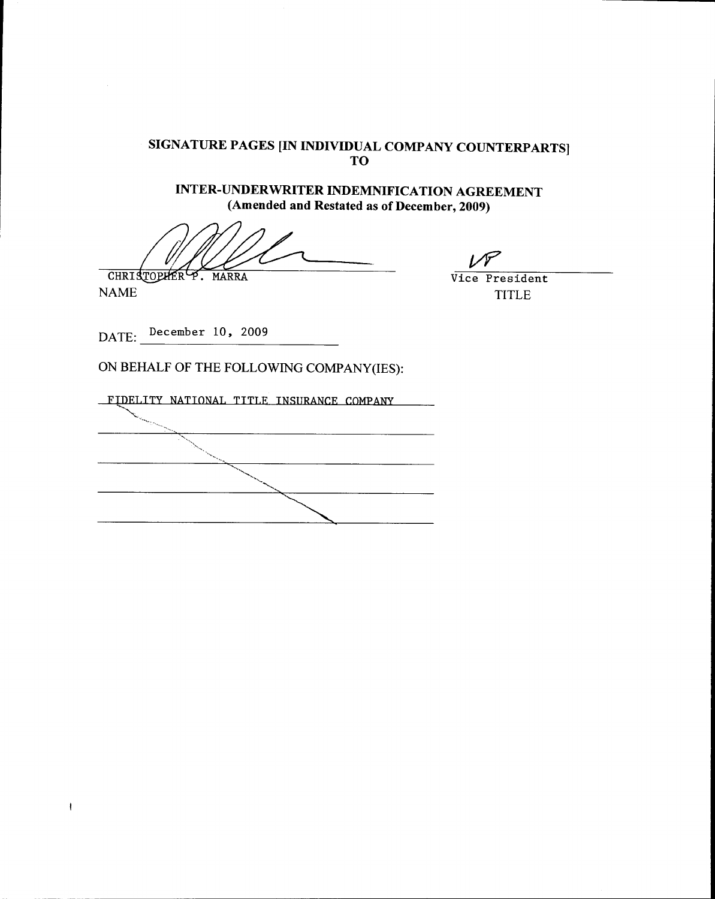**INTER-UNDERWRITER INDEMNIFICATION AGREEMENT** (Amended and Restated as of December, 2009)

CHRISTOPHER<sup>L</sup>P. MARRA

**NAME** 

 $\pmb{\ast}$ 

Vice President **TITLE** 

سمرا

DATE:  $^{December 10, 2009}$ 

FIDELITY NATIONAL TITLE INSURANCE COMPANY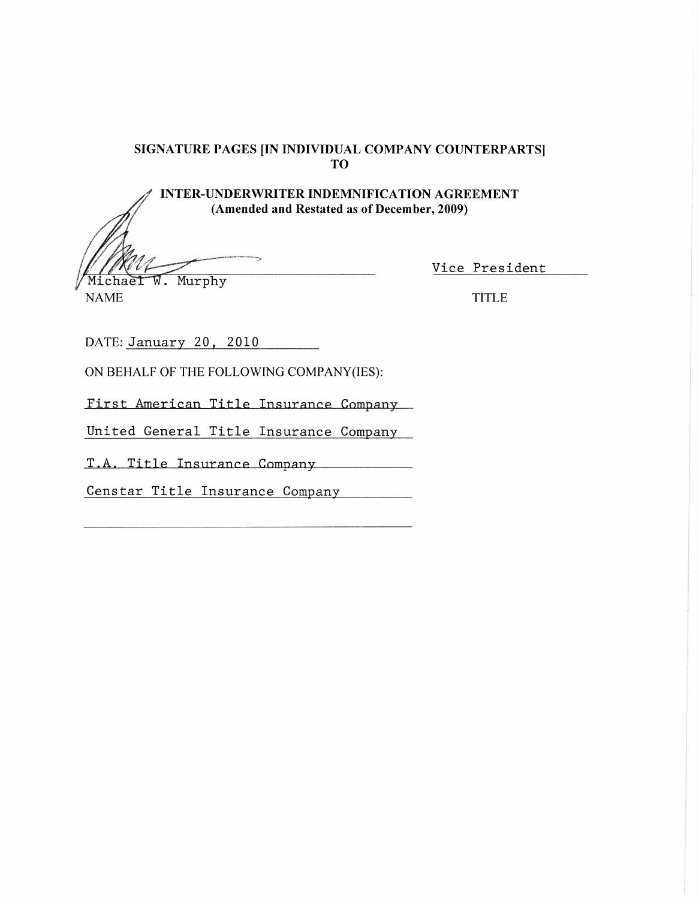**INTER-UNDERWRITER INDEMNIFICATION AGREEMENT** (Amended and Restated as of December, 2009)

Michael W. Murphy

Vice President

**NAME** 

**TITLE** 

DATE: January 20, 2010

ON BEHALF OF THE FOLLOWING COMPANY(IES):

First American Title Insurance Company

United General Title Insurance Company

T.A. Title Insurance Company

Censtar Title Insurance Company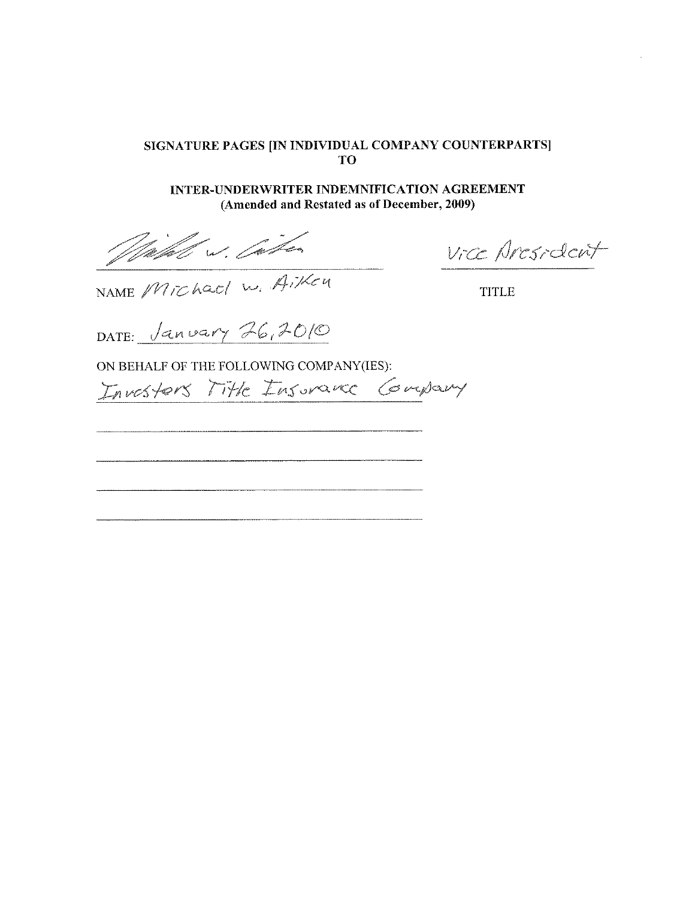INTER-UNDERWRITER INDEMNIFICATION AGREEMENT (Amended and Restated as of December, 2009)

Wilhel w. Cather

Vice Aresident

NAME MIChael W. Aiken

**TITLE** 

DATE: <u>Janvary</u> 26,2010

Investors Title Insurance Company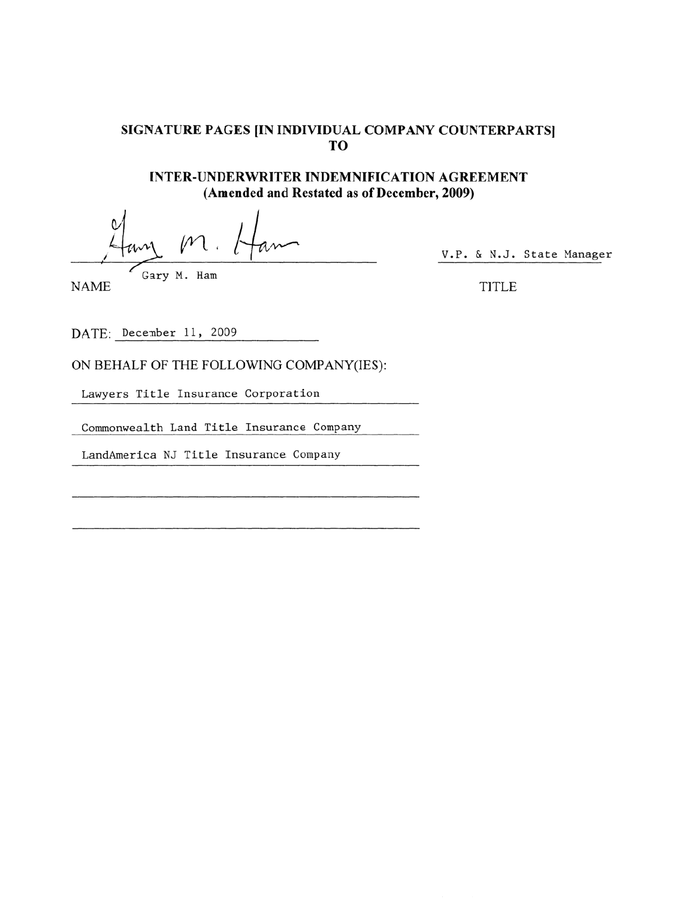**INTER-UNDERWRITER INDEMNIFICATION AGREEMENT** (Amended and Restated as of December, 2009)

Gary M. Ham

**NAME** 

V.P. & N.J. State Manager

**TITLE** 

DATE: December 11, 2009

ON BEHALF OF THE FOLLOWING COMPANY(IES):

Lawyers Title Insurance Corporation

Commonwealth Land Title Insurance Company

LandAmerica NJ Title Insurance Company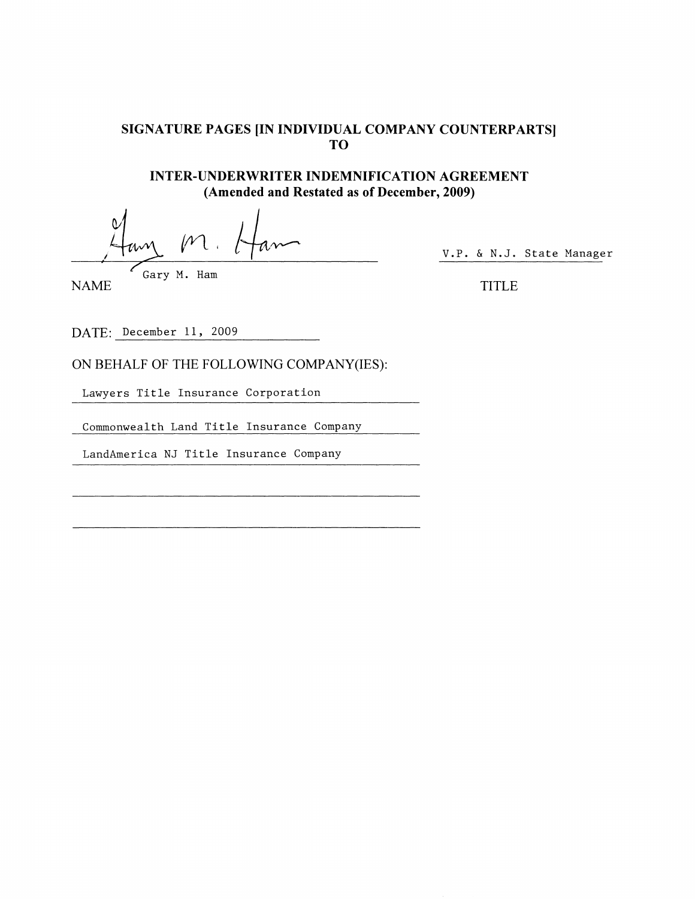**INTER-UNDERWRITER INDEMNIFICATION AGREEMENT** (Amended and Restated as of December, 2009)

Gary M. Ham

V.P. & N.J. State Manager

**NAME** 

**TITLE** 

DATE: December 11, 2009

ON BEHALF OF THE FOLLOWING COMPANY(IES):

Lawyers Title Insurance Corporation

Commonwealth Land Title Insurance Company

LandAmerica NJ Title Insurance Company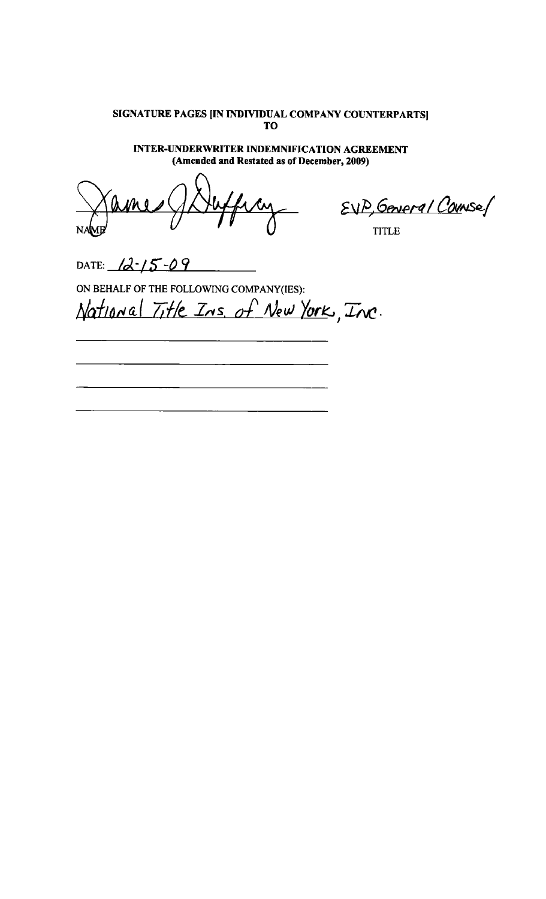**INTER-UNDERWRITER INDEMNIFICATION AGREEMENT** (Amended and Restated as of December, 2009)

EVP, General Counses

DATE:  $12 - 15 - 09$ 

ON BEHALF OF THE FOLLOWING COMPANY(IES): National Title Ins. of New York, Inc.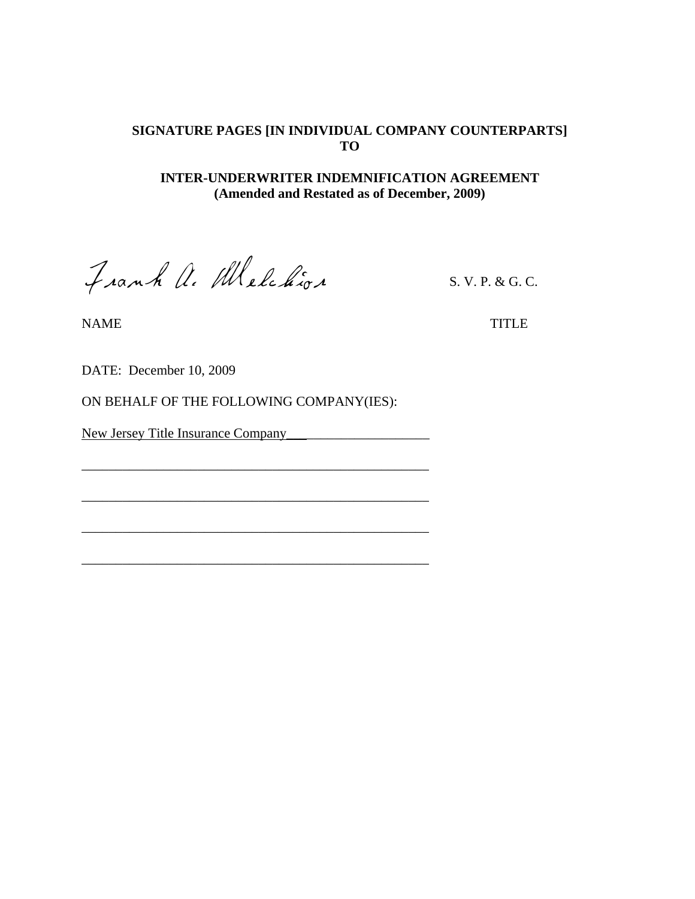### **INTER-UNDERWRITER INDEMNIFICATION AGREEMENT (Amended and Restated as of December, 2009)**

Frank A. Melchior S. V. P. & G. C.

NAME TITLE

DATE: December 10, 2009

ON BEHALF OF THE FOLLOWING COMPANY(IES):

\_\_\_\_\_\_\_\_\_\_\_\_\_\_\_\_\_\_\_\_\_\_\_\_\_\_\_\_\_\_\_\_\_\_\_\_\_\_\_\_\_\_\_\_\_\_\_\_\_\_\_

\_\_\_\_\_\_\_\_\_\_\_\_\_\_\_\_\_\_\_\_\_\_\_\_\_\_\_\_\_\_\_\_\_\_\_\_\_\_\_\_\_\_\_\_\_\_\_\_\_\_\_

\_\_\_\_\_\_\_\_\_\_\_\_\_\_\_\_\_\_\_\_\_\_\_\_\_\_\_\_\_\_\_\_\_\_\_\_\_\_\_\_\_\_\_\_\_\_\_\_\_\_\_

\_\_\_\_\_\_\_\_\_\_\_\_\_\_\_\_\_\_\_\_\_\_\_\_\_\_\_\_\_\_\_\_\_\_\_\_\_\_\_\_\_\_\_\_\_\_\_\_\_\_\_

New Jersey Title Insurance Company\_\_\_\_\_\_\_\_\_\_\_\_\_\_\_\_\_\_\_\_\_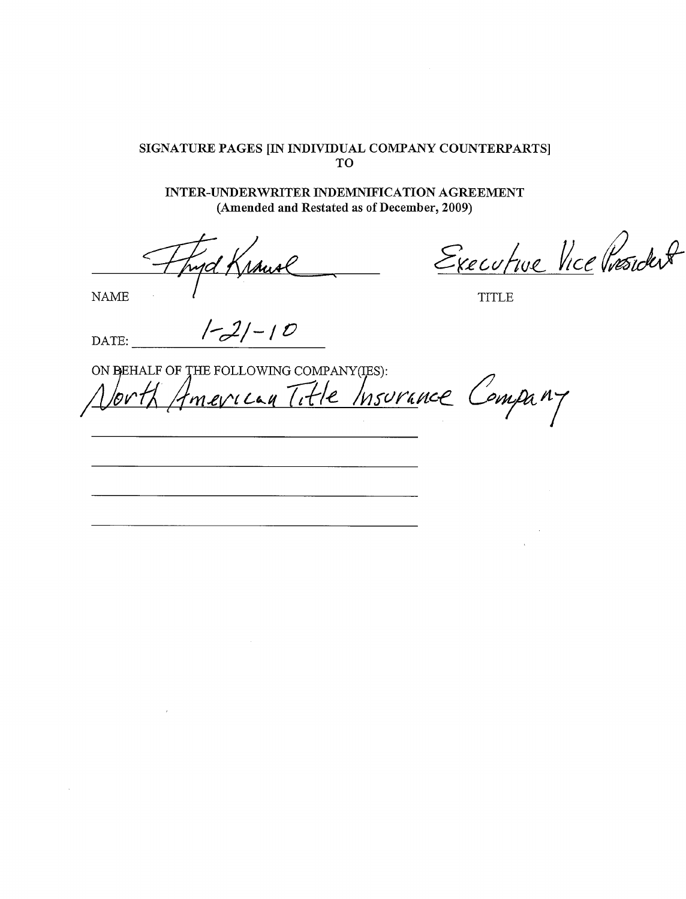**INTER-UNDERWRITER INDEMNIFICATION AGREEMENT** (Amended and Restated as of December, 2009)

Musl <u>njd f</u>

**NAME** 

Executive Vice Président

**TITLE** 

 $[-2]-10$ DATE:

ON BEHALF OF THE FOLLOWING COMPANY(IES): Imerican Title Insurance Company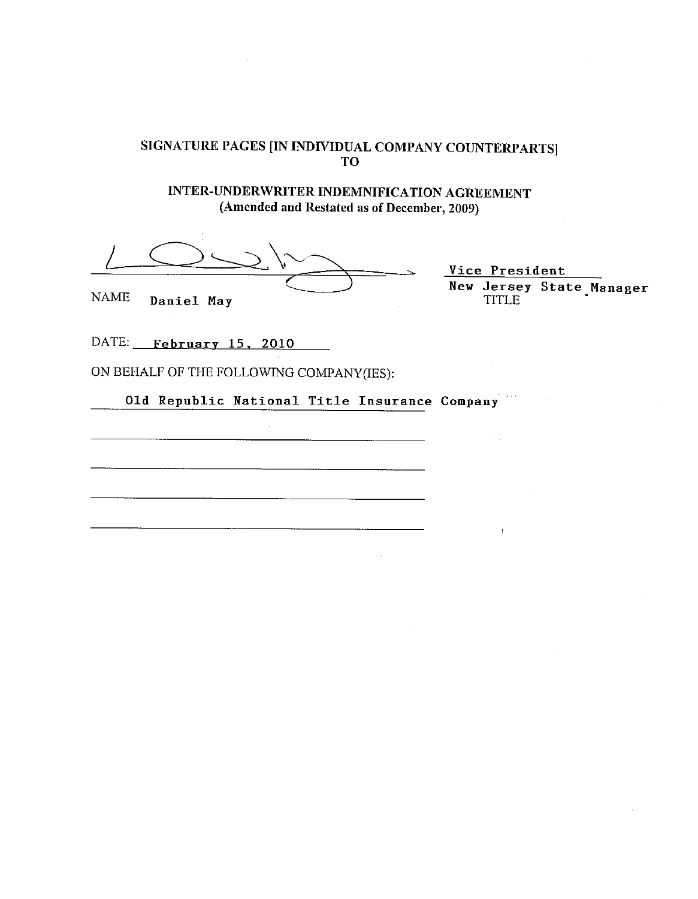INTER-UNDERWRITER INDEMNIFICATION AGREEMENT (Amended and Restated as of December, 2009)

**NAME** Daniel May

Vice President New Jersey State Manager<br>TITLE

DATE: February 15, 2010

ON BEHALF OF THE FOLLOWING COMPANY(IES):

Old Republic National Title Insurance Company 993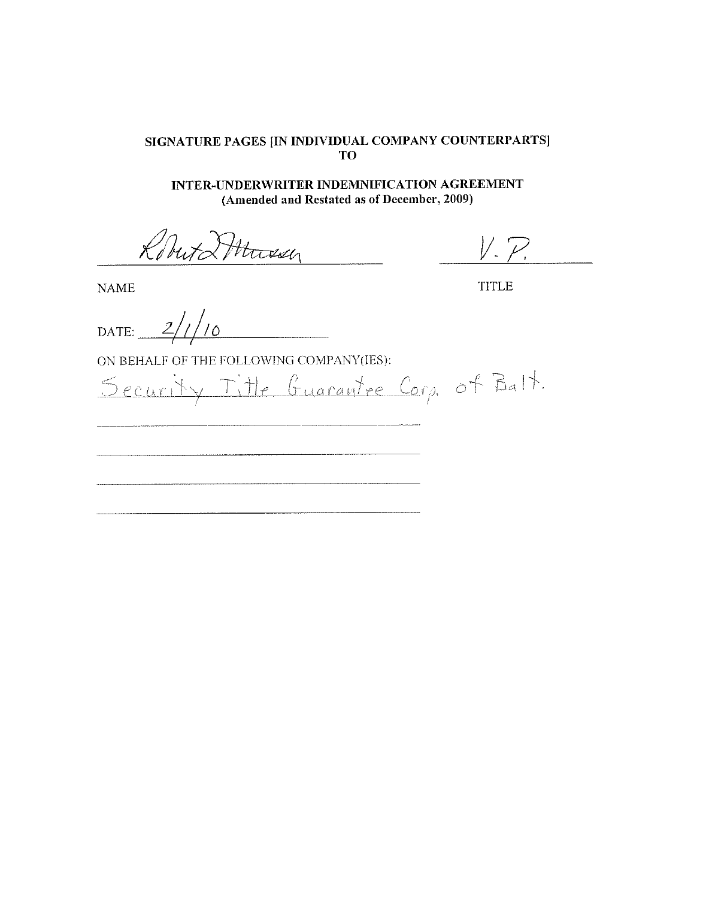INTER-UNDERWRITER INDEMNIFICATION AGREEMENT (Amended and Restated as of December, 2009)

Roberta Mussy

 $V P$ 

**TITLE** 

**NAME** 

DATE:  $2/1/$  $^\prime$ 10

Security Title Guarantee Corp. of Balt.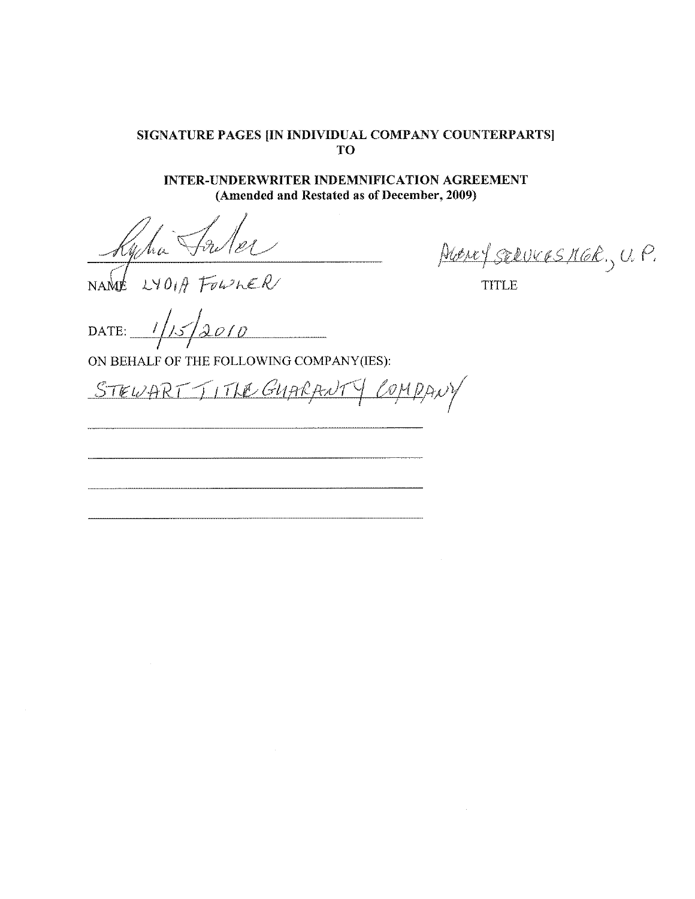### SIGNATURE PAGES [IN INDIVIDUAL COMPANY COUNTERPARTS] TO<sup>1</sup>

INTER-UNDERWRITER INDEMNIFICATION AGREEMENT (Amended and Restated as of December, 2009)

Frelet Wha  $LYO\theta H$  FOWLER NAME

ALENT SERVICES MER., U.P.

**TITLE** 

DATE:  $\frac{1}{2}$ 

<u>STEWART TITLE GUARANT</u> COMPANY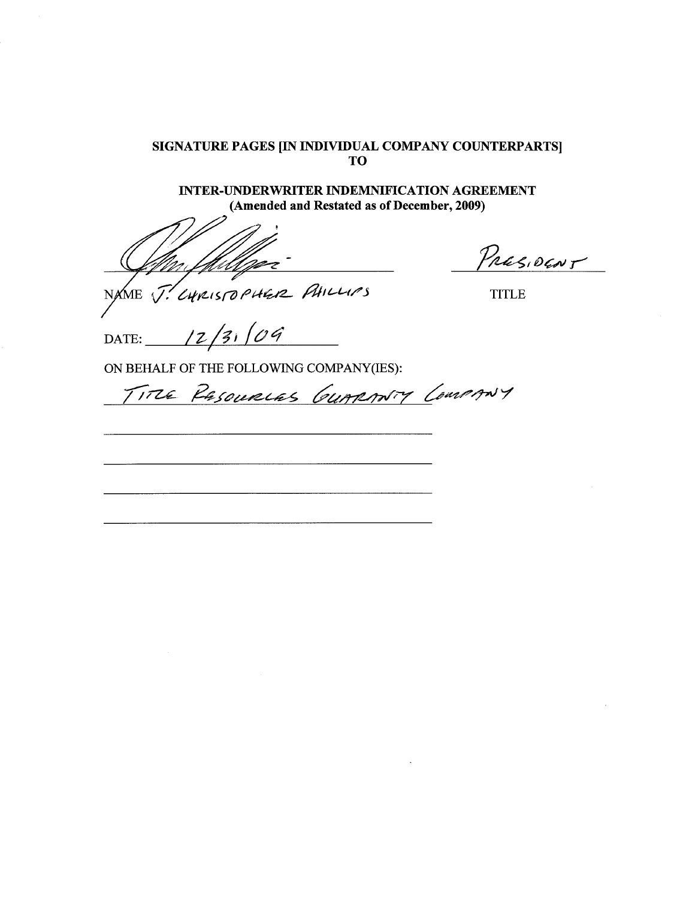**INTER-UNDERWRITER INDEMNIFICATION AGREEMENT** (Amended and Restated as of December, 2009)

LURISTOPHER PHILLIPS NAME  $\sqrt{7}$ .

PRESIDENT

**TITLE** 

 $3,64$  $12.$ DATE:

TITLE RESOURCES GUARANTY COMPANY